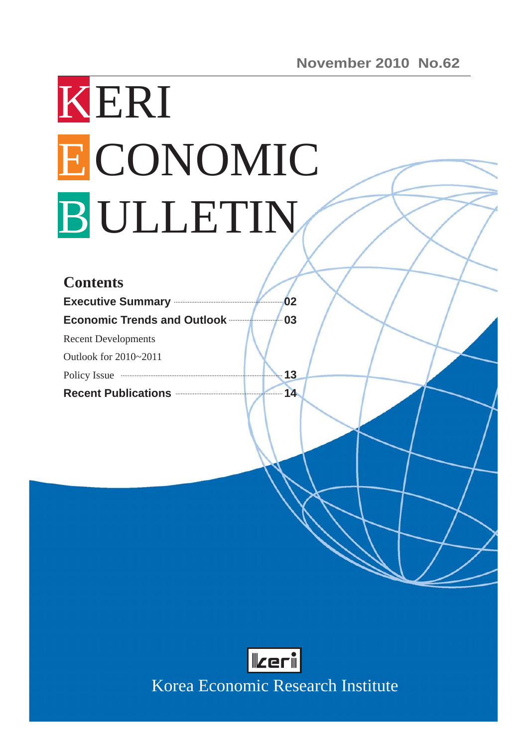# KERI ECONOMIC B ULLETIN

| <b>Contents</b>                                                                                                                                                                                                                |    |
|--------------------------------------------------------------------------------------------------------------------------------------------------------------------------------------------------------------------------------|----|
| <b>Executive Summary Construction of the Summary</b>                                                                                                                                                                           | 02 |
| <b>Economic Trends and Outlook</b>                                                                                                                                                                                             | 03 |
| <b>Recent Developments</b>                                                                                                                                                                                                     |    |
| Outlook for 2010~2011                                                                                                                                                                                                          |    |
| Policy Issue manufactured and the manufactured and the manufactured and the manufactured and the manufactured and the manufactured and the manufactured and the manufactured and the manufactured and the manufactured and the | 13 |
| Recent Publications <b>Manual</b>                                                                                                                                                                                              | 14 |
|                                                                                                                                                                                                                                |    |



Korea Economic Research Institute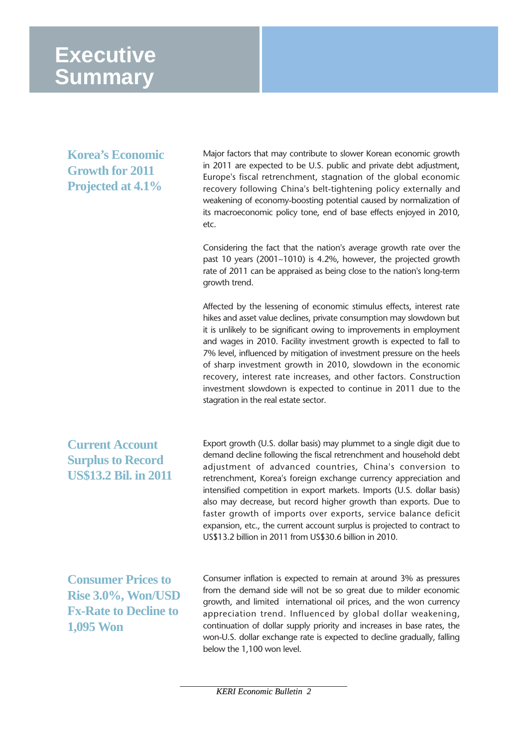# **Executive Summary**

**Korea's Economic Growth for 2011 Projected at 4.1%** 

Major factors that may contribute to slower Korean economic growth in 2011 are expected to be U.S. public and private debt adjustment, Europe's fiscal retrenchment, stagnation of the global economic recovery following China's belt-tightening policy externally and weakening of economy-boosting potential caused by normalization of its macroeconomic policy tone, end of base effects enjoyed in 2010, etc.

Considering the fact that the nation's average growth rate over the past 10 years (2001~1010) is 4.2%, however, the projected growth rate of 2011 can be appraised as being close to the nation's long-term growth trend.

Affected by the lessening of economic stimulus effects, interest rate hikes and asset value declines, private consumption may slowdown but it is unlikely to be significant owing to improvements in employment and wages in 2010. Facility investment growth is expected to fall to 7% level, influenced by mitigation of investment pressure on the heels of sharp investment growth in 2010, slowdown in the economic recovery, interest rate increases, and other factors. Construction investment slowdown is expected to continue in 2011 due to the stagration in the real estate sector.

**Current Account Surplus to Record US\$13.2 Bil. in 2011**

Export growth (U.S. dollar basis) may plummet to a single digit due to demand decline following the fiscal retrenchment and household debt adjustment of advanced countries, China's conversion to retrenchment, Korea's foreign exchange currency appreciation and intensified competition in export markets. Imports (U.S. dollar basis) also may decrease, but record higher growth than exports. Due to faster growth of imports over exports, service balance deficit expansion, etc., the current account surplus is projected to contract to US\$13.2 billion in 2011 from US\$30.6 billion in 2010.

**Consumer Prices to Rise 3.0%, Won/USD Fx-Rate to Decline to 1,095 Won** 

Consumer inflation is expected to remain at around 3% as pressures from the demand side will not be so great due to milder economic growth, and limited international oil prices, and the won currency appreciation trend. Influenced by global dollar weakening, continuation of dollar supply priority and increases in base rates, the won-U.S. dollar exchange rate is expected to decline gradually, falling below the 1,100 won level.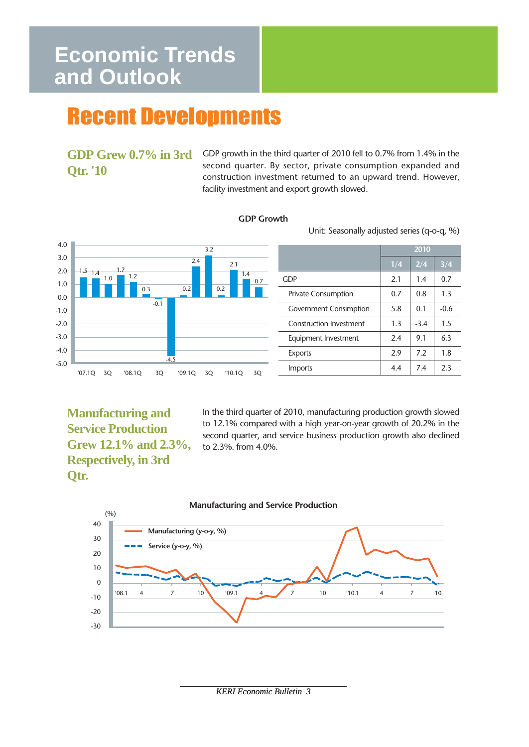# **Economic Trends and Outlook**

# Recent Developments

## **GDP Grew 0.7% in 3rd Qtr. '10**

GDP growth in the third quarter of 2010 fell to 0.7% from 1.4% in the second quarter. By sector, private consumption expanded and construction investment returned to an upward trend. However, facility investment and export growth slowed.

#### **GDP Growth**

Unit: Seasonally adjusted series (q-o-q, %)



|                                | 2010 |        |        |  |
|--------------------------------|------|--------|--------|--|
|                                | 1/4  | 2/4    | 3/4    |  |
| <b>GDP</b>                     | 2.1  | 1.4    | 0.7    |  |
| <b>Private Consumption</b>     | 0.7  | 0.8    | 1.3    |  |
| <b>Government Consimption</b>  | 5.8  | 0.1    | $-0.6$ |  |
| <b>Construction Investment</b> | 1.3  | $-3.4$ | 1.5    |  |
| Equipment Investment           | 2.4  | 9.1    | 6.3    |  |
| <b>Exports</b>                 | 2.9  | 7.2    | 1.8    |  |
| Imports                        | 4.4  | 7.4    | 2.3    |  |

**Manufacturing and Service Production Grew 12.1% and 2.3%, Respectively, in 3rd Qtr.** 

In the third quarter of 2010, manufacturing production growth slowed to 12.1% compared with a high year-on-year growth of 20.2% in the second quarter, and service business production growth also declined to 2.3%. from 4.0%.



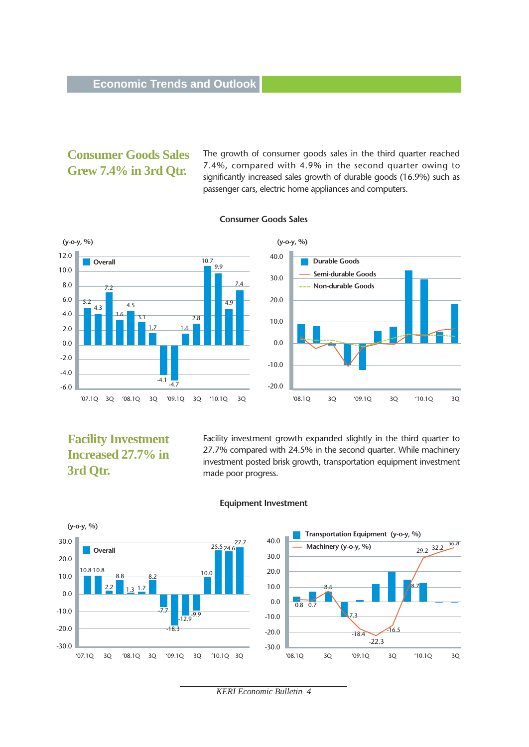## **Consumer Goods Sales Grew 7.4% in 3rd Qtr.**

The growth of consumer goods sales in the third quarter reached 7.4%, compared with 4.9% in the second quarter owing to significantly increased sales growth of durable goods (16.9%) such as passenger cars, electric home appliances and computers.



#### **Consumer Goods Sales**

## **Facility Investment Increased 27.7% in 3rd Qtr.**

Facility investment growth expanded slightly in the third quarter to 27.7% compared with 24.5% in the second quarter. While machinery investment posted brisk growth, transportation equipment investment made poor progress.

8.7

29.2 32.2

36.8



#### **Equipment Investment**

*KERI Economic Bulletin 4*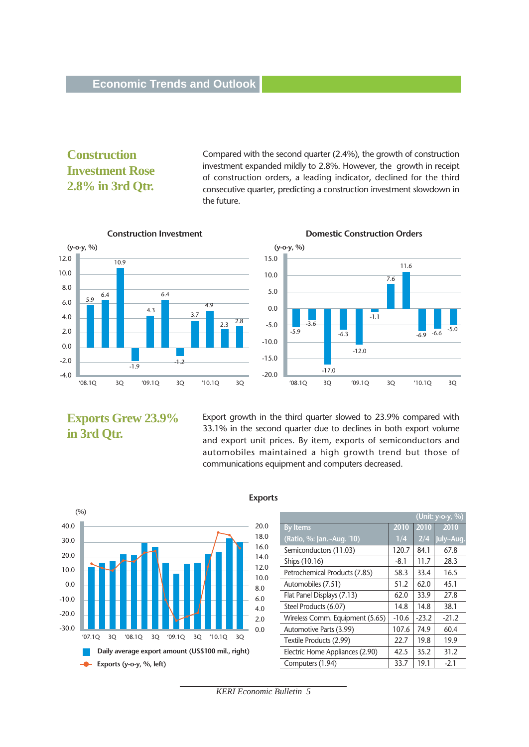## **Construction Investment Rose 2.8% in 3rd Qtr.**

Compared with the second quarter (2.4%), the growth of construction investment expanded mildly to 2.8%. However, the growth in receipt of construction orders, a leading indicator, declined for the third consecutive quarter, predicting a construction investment slowdown in the future.





## **Exports Grew 23.9% in 3rd Qtr.**

Export growth in the third quarter slowed to 23.9% compared with 33.1% in the second quarter due to declines in both export volume and export unit prices. By item, exports of semiconductors and automobiles maintained a high growth trend but those of communications equipment and computers decreased.



#### **Exports**

| (%)                                                           |              |                                 |         |         | $\sqrt{\text{Unit: } y \text{-} \text{-} y}$ , %) |
|---------------------------------------------------------------|--------------|---------------------------------|---------|---------|---------------------------------------------------|
|                                                               | 20.0         | <b>By Items</b>                 | 2010    | 2010    | 2010                                              |
|                                                               | 18.0         | (Ratio, %: Jan.~Aug. '10)       | 1/4     | 2/4     | July~Aug.                                         |
|                                                               | 16.0         | Semiconductors (11.03)          | 120.7   | 84.1    | 67.8                                              |
|                                                               | 14.0         | Ships (10.16)                   | $-8.1$  | 11.7    | 28.3                                              |
|                                                               | 12.0<br>10.0 | Petrochemical Products (7.85)   | 58.3    | 33.4    | 16.5                                              |
|                                                               | 8.0          | Automobiles (7.51)              | 51.2    | 62.0    | 45.1                                              |
|                                                               | 6.0          | Flat Panel Displays (7.13)      | 62.0    | 33.9    | 27.8                                              |
|                                                               | 4.0          | Steel Products (6.07)           | 14.8    | 14.8    | 38.1                                              |
|                                                               | 2.0          | Wireless Comm. Equipment (5.65) | $-10.6$ | $-23.2$ | $-21.2$                                           |
|                                                               | 0.0          | Automotive Parts (3.99)         | 107.6   | 74.9    | 60.4                                              |
| '07.1Q<br>'09.1Q<br>3Q<br>'08.1Q<br>3Q<br>'10.10'<br>30<br>3Q |              | Textile Products (2.99)         | 22.7    | 19.8    | 19.9                                              |
| Daily average export amount (US\$100 mil., right)             |              | Electric Home Appliances (2.90) | 42.5    | 35.2    | 31.2                                              |
| Exports ( $y$ -o- $y$ , $\%$ , left)                          |              | Computers (1.94)                | 33.7    | 19.1    | $-2.1$                                            |

*KERI Economic Bulletin 5*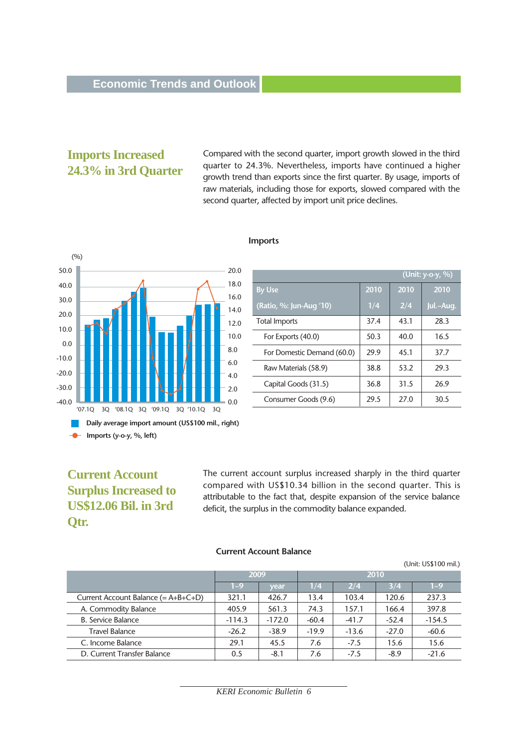#### **Imports Increased 24.3% in 3rd Quarter**

Compared with the second quarter, import growth slowed in the third quarter to 24.3%. Nevertheless, imports have continued a higher growth trend than exports since the first quarter. By usage, imports of raw materials, including those for exports, slowed compared with the second quarter, affected by import unit price declines.



#### **Imports**

|                            |      |      | (Unit: y-o-y, %) |
|----------------------------|------|------|------------------|
| <b>By Use</b>              | 2010 | 2010 | 2010             |
| (Ratio, %: Jun-Aug '10)    | 1/4  | 2/4  | Jul.~Aug.        |
| <b>Total Imports</b>       | 37.4 | 43.1 | 28.3             |
| For Exports (40.0)         | 50.3 | 40.0 | 16.5             |
| For Domestic Demand (60.0) | 29.9 | 45.1 | 37.7             |
| Raw Materials (58.9)       | 38.8 | 53.2 | 29.3             |
| Capital Goods (31.5)       | 36.8 | 31.5 | 26.9             |
| Consumer Goods (9.6)       | 29.5 | 27.0 | 30.5             |

#### **Current Account Surplus Increased to US\$12.06 Bil. in 3rd Qtr.**

The current account surplus increased sharply in the third quarter compared with US\$10.34 billion in the second quarter. This is attributable to the fact that, despite expansion of the service balance deficit, the surplus in the commodity balance expanded.

#### **Current Account Balance**

(Unit: US\$100 mil.)

|                                       | 2009     |          |         |         |         |          |
|---------------------------------------|----------|----------|---------|---------|---------|----------|
|                                       | $1 - 9$  | vear     | 1/4     | 2/4     | 3/4     | $1 - 9$  |
| Current Account Balance $(= A+B+C+D)$ | 321.1    | 426.7    | 13.4    | 103.4   | 120.6   | 237.3    |
| A. Commodity Balance                  | 405.9    | 561.3    | 74.3    | 157.1   | 166.4   | 397.8    |
| <b>B. Service Balance</b>             | $-114.3$ | $-172.0$ | $-60.4$ | $-41.7$ | $-52.4$ | $-154.5$ |
| <b>Travel Balance</b>                 | $-26.2$  | $-38.9$  | $-19.9$ | $-13.6$ | $-27.0$ | $-60.6$  |
| C. Income Balance                     | 29.1     | 45.5     | 7.6     | $-7.5$  | 15.6    | 15.6     |
| D. Current Transfer Balance           | 0.5      | $-8.1$   | 7.6     | $-7.5$  | $-8.9$  | $-21.6$  |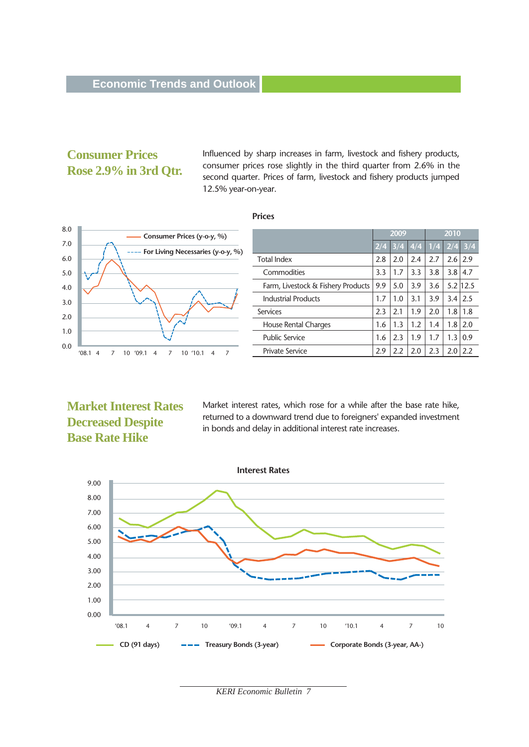## **Consumer Prices Rose 2.9% in 3rd Qtr.**

Influenced by sharp increases in farm, livestock and fishery products, consumer prices rose slightly in the third quarter from 2.6% in the second quarter. Prices of farm, livestock and fishery products jumped 12.5% year-on-year.

#### **Prices**



|                                    | 2009 |           |     | 2010              |     |               |
|------------------------------------|------|-----------|-----|-------------------|-----|---------------|
|                                    |      | $2/4$ 3/4 |     | $1/4$ 1/4 2/4 3/4 |     |               |
| <b>Total Index</b>                 | 2.8  | 2.0       | 2.4 | 2.7               | 2.6 | 2.9           |
| Commodities                        | 3.3  | 1.7       | 3.3 | 3.8               | 3.8 | 4.7           |
| Farm, Livestock & Fishery Products | 9.9  | 5.0       | 3.9 | 3.6               |     | $5.2 \, 12.5$ |
| <b>Industrial Products</b>         | 1.7  | 1.0       | 3.1 | 3.9               | 3.4 | 2.5           |
| Services                           | 2.3  | 2.1       | 1.9 | 2.0               | 1.8 | 1.8           |
| House Rental Charges               | 1.6  | 1.3       | 1.2 | 1.4               | 1.8 | 2.0           |
| Public Service                     | 1.6  | 2.3       | 1.9 | 1.7               | 1.3 | 0.9           |
| Private Service                    | 2.9  | 2.2       | 2.0 | 2.3               | 2.0 | 2.2           |

#### **Market Interest Rates Decreased Despite Base Rate Hike**

Market interest rates, which rose for a while after the base rate hike, returned to a downward trend due to foreigners' expanded investment in bonds and delay in additional interest rate increases.



*KERI Economic Bulletin 7*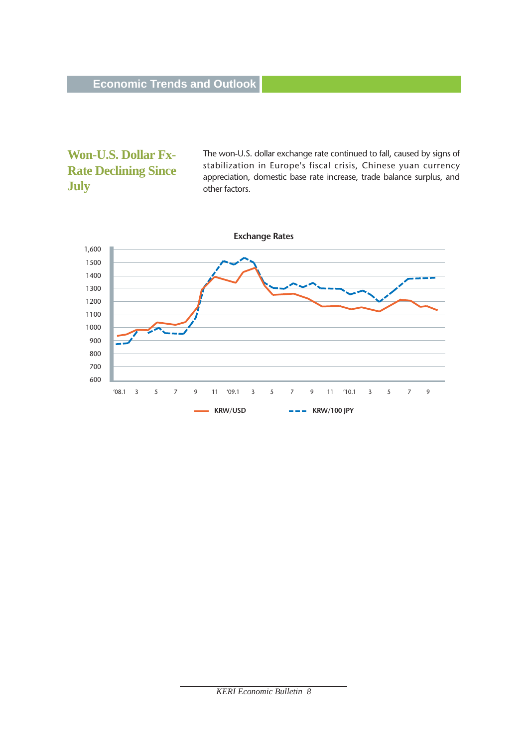## **Won-U.S. Dollar Fx-Rate Declining Since July**

The won-U.S. dollar exchange rate continued to fall, caused by signs of stabilization in Europe's fiscal crisis, Chinese yuan currency appreciation, domestic base rate increase, trade balance surplus, and other factors.

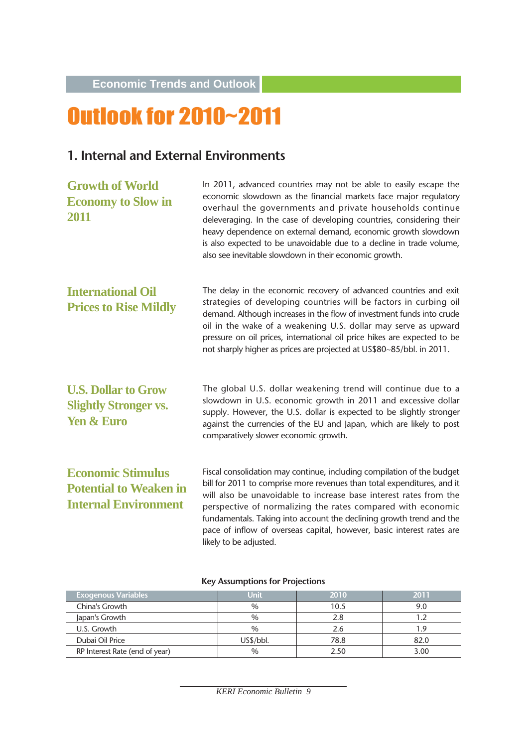**Economic Trends and Outlook**

# Outlook for 2010~2011

## **1. Internal and External Environments**

| <b>Growth of World</b><br><b>Economy to Slow in</b><br>2011                              | In 2011, advanced countries may not be able to easily escape the<br>economic slowdown as the financial markets face major regulatory<br>overhaul the governments and private households continue<br>deleveraging. In the case of developing countries, considering their<br>heavy dependence on external demand, economic growth slowdown<br>is also expected to be unavoidable due to a decline in trade volume,<br>also see inevitable slowdown in their economic growth. |
|------------------------------------------------------------------------------------------|-----------------------------------------------------------------------------------------------------------------------------------------------------------------------------------------------------------------------------------------------------------------------------------------------------------------------------------------------------------------------------------------------------------------------------------------------------------------------------|
| <b>International Oil</b><br><b>Prices to Rise Mildly</b>                                 | The delay in the economic recovery of advanced countries and exit<br>strategies of developing countries will be factors in curbing oil<br>demand. Although increases in the flow of investment funds into crude<br>oil in the wake of a weakening U.S. dollar may serve as upward<br>pressure on oil prices, international oil price hikes are expected to be<br>not sharply higher as prices are projected at US\$80~85/bbl. in 2011.                                      |
| <b>U.S. Dollar to Grow</b><br><b>Slightly Stronger vs.</b><br><b>Yen &amp; Euro</b>      | The global U.S. dollar weakening trend will continue due to a<br>slowdown in U.S. economic growth in 2011 and excessive dollar<br>supply. However, the U.S. dollar is expected to be slightly stronger<br>against the currencies of the EU and Japan, which are likely to post<br>comparatively slower economic growth.                                                                                                                                                     |
| <b>Economic Stimulus</b><br><b>Potential to Weaken in</b><br><b>Internal Environment</b> | Fiscal consolidation may continue, including compilation of the budget<br>bill for 2011 to comprise more revenues than total expenditures, and it<br>will also be unavoidable to increase base interest rates from the<br>perspective of normalizing the rates compared with economic<br>fundamentals. Taking into account the declining growth trend and the<br>pace of inflow of overseas capital, however, basic interest rates are<br>likely to be adjusted.            |

#### **Key Assumptions for Projections**

| <b>Exogenous Variables</b>     | Unit          | 2010 | 2011 |
|--------------------------------|---------------|------|------|
| China's Growth                 | $\frac{0}{0}$ | 10.5 | 9.0  |
| Japan's Growth                 | $\%$          | 2.8  |      |
| U.S. Growth                    | $\frac{0}{0}$ | 2.6  | 19   |
| Dubai Oil Price                | US\$/bbI.     | 78.8 | 82.0 |
| RP Interest Rate (end of year) | $\%$          | 2.50 | 3.00 |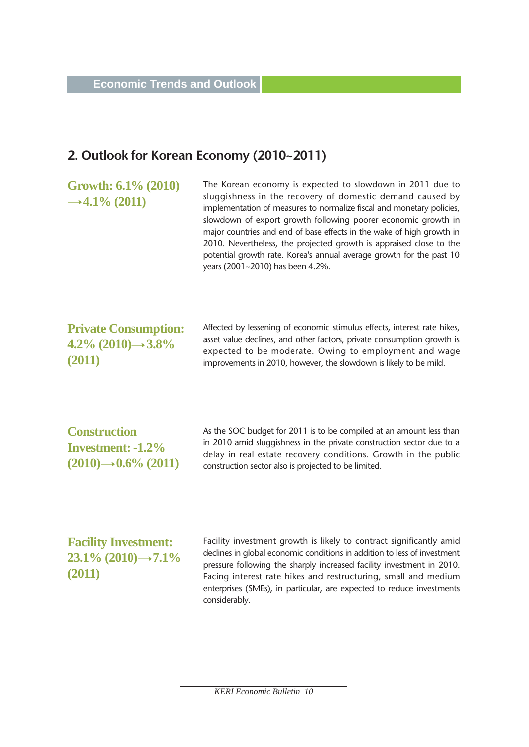## **2. Outlook for Korean Economy (2010~2011)**

**Growth: 6.1% (2010)**  $\rightarrow$  4.1% (2011)

The Korean economy is expected to slowdown in 2011 due to sluggishness in the recovery of domestic demand caused by implementation of measures to normalize fiscal and monetary policies, slowdown of export growth following poorer economic growth in major countries and end of base effects in the wake of high growth in 2010. Nevertheless, the projected growth is appraised close to the potential growth rate. Korea's annual average growth for the past 10 years (2001~2010) has been 4.2%.

#### **Private Consumption: 4.2**% (2010)→ 3.8<sup>%</sup> **(2011)**

Affected by lessening of economic stimulus effects, interest rate hikes, asset value declines, and other factors, private consumption growth is expected to be moderate. Owing to employment and wage improvements in 2010, however, the slowdown is likely to be mild.

**Construction Investment: -1.2%**  $(2010) \rightarrow 0.6\%$  (2011) As the SOC budget for 2011 is to be compiled at an amount less than in 2010 amid sluggishness in the private construction sector due to a delay in real estate recovery conditions. Growth in the public construction sector also is projected to be limited.

**Facility Investment: 23.1% (2010)→7.1% (2011)** 

Facility investment growth is likely to contract significantly amid declines in global economic conditions in addition to less of investment pressure following the sharply increased facility investment in 2010. Facing interest rate hikes and restructuring, small and medium enterprises (SMEs), in particular, are expected to reduce investments considerably.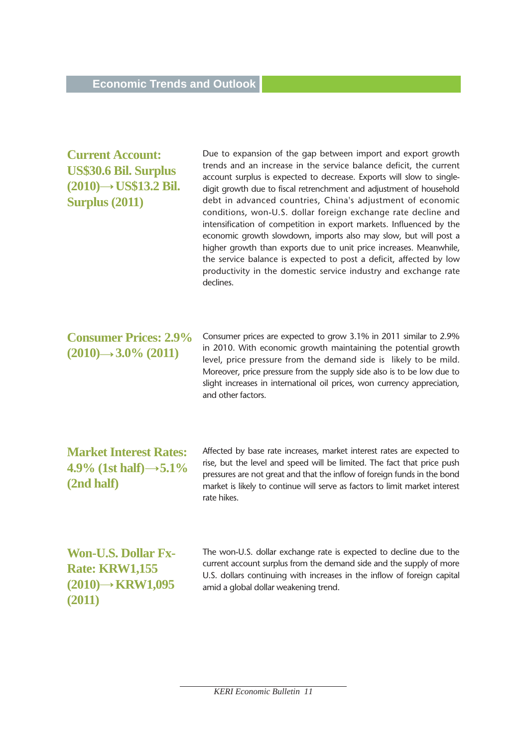## **Current Account: US\$30.6 Bil. Surplus**  $(2010) \rightarrow$  US\$13.2 Bil. **Surplus (2011)**

Due to expansion of the gap between import and export growth trends and an increase in the service balance deficit, the current account surplus is expected to decrease. Exports will slow to singledigit growth due to fiscal retrenchment and adjustment of household debt in advanced countries, China's adjustment of economic conditions, won-U.S. dollar foreign exchange rate decline and intensification of competition in export markets. Influenced by the economic growth slowdown, imports also may slow, but will post a higher growth than exports due to unit price increases. Meanwhile, the service balance is expected to post a deficit, affected by low productivity in the domestic service industry and exchange rate declines.

## **Consumer Prices: 2.9%**  $(2010) \rightarrow 3.0\%$   $(2011)$

Consumer prices are expected to grow 3.1% in 2011 similar to 2.9% in 2010. With economic growth maintaining the potential growth level, price pressure from the demand side is likely to be mild. Moreover, price pressure from the supply side also is to be low due to slight increases in international oil prices, won currency appreciation, and other factors.

**Market Interest Rates: 4.9**% (1st half) →  $5.1\%$ **(2nd half)** 

Affected by base rate increases, market interest rates are expected to rise, but the level and speed will be limited. The fact that price push pressures are not great and that the inflow of foreign funds in the bond market is likely to continue will serve as factors to limit market interest rate hikes.

**Won-U.S. Dollar Fx-Rate: KRW1,155 (2010) KRW1,095 (2011)**

The won-U.S. dollar exchange rate is expected to decline due to the current account surplus from the demand side and the supply of more U.S. dollars continuing with increases in the inflow of foreign capital amid a global dollar weakening trend.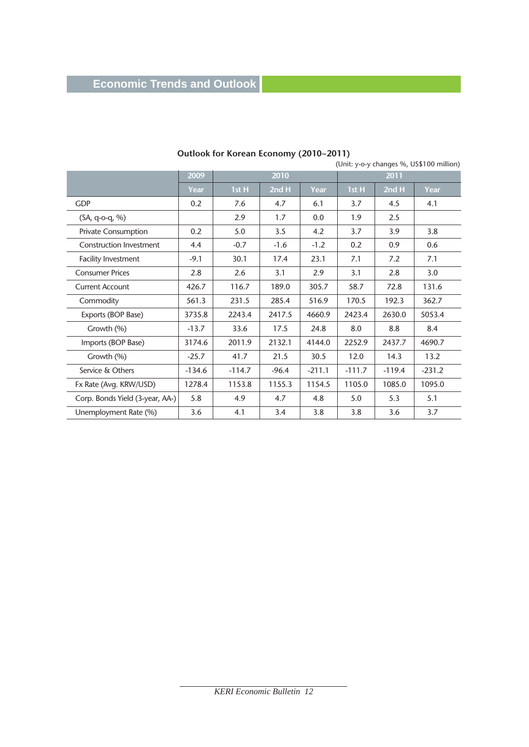## **Economic Trends and Outlook**

| $\frac{1}{2}$<br>(Unit: y-o-y changes %, US\$100 million) |                   |          |         |          |          |          |          |
|-----------------------------------------------------------|-------------------|----------|---------|----------|----------|----------|----------|
|                                                           | $\overline{2009}$ | 2010     |         |          | 2011     |          |          |
|                                                           | Year              | 1st H    | 2nd H   | Year     | 1st H    | 2nd H    | Year     |
| <b>GDP</b>                                                | 0.2               | 7.6      | 4.7     | 6.1      | 3.7      | 4.5      | 4.1      |
| $(SA, q-o-q, %)$                                          |                   | 2.9      | 1.7     | 0.0      | 1.9      | 2.5      |          |
| <b>Private Consumption</b>                                | 0.2               | 5.0      | 3.5     | 4.2      | 3.7      | 3.9      | 3.8      |
| Construction Investment                                   | 4.4               | $-0.7$   | $-1.6$  | $-1.2$   | 0.2      | 0.9      | 0.6      |
| Facility Investment                                       | $-9.1$            | 30.1     | 17.4    | 23.1     | 7.1      | 7.2      | 7.1      |
| <b>Consumer Prices</b>                                    | 2.8               | 2.6      | 3.1     | 2.9      | 3.1      | 2.8      | 3.0      |
| <b>Current Account</b>                                    | 426.7             | 116.7    | 189.0   | 305.7    | 58.7     | 72.8     | 131.6    |
| Commodity                                                 | 561.3             | 231.5    | 285.4   | 516.9    | 170.5    | 192.3    | 362.7    |
| Exports (BOP Base)                                        | 3735.8            | 2243.4   | 2417.5  | 4660.9   | 2423.4   | 2630.0   | 5053.4   |
| Growth (%)                                                | $-13.7$           | 33.6     | 17.5    | 24.8     | 8.0      | 8.8      | 8.4      |
| Imports (BOP Base)                                        | 3174.6            | 2011.9   | 2132.1  | 4144.0   | 2252.9   | 2437.7   | 4690.7   |
| Growth (%)                                                | $-25.7$           | 41.7     | 21.5    | 30.5     | 12.0     | 14.3     | 13.2     |
| Service & Others                                          | $-134.6$          | $-114.7$ | $-96.4$ | $-211.1$ | $-111.7$ | $-119.4$ | $-231.2$ |
| Fx Rate (Avg. KRW/USD)                                    | 1278.4            | 1153.8   | 1155.3  | 1154.5   | 1105.0   | 1085.0   | 1095.0   |
| Corp. Bonds Yield (3-year, AA-)                           | 5.8               | 4.9      | 4.7     | 4.8      | 5.0      | 5.3      | 5.1      |
| Unemployment Rate (%)                                     | 3.6               | 4.1      | 3.4     | 3.8      | 3.8      | 3.6      | 3.7      |

## **Outlook for Korean Economy (2010~2011)**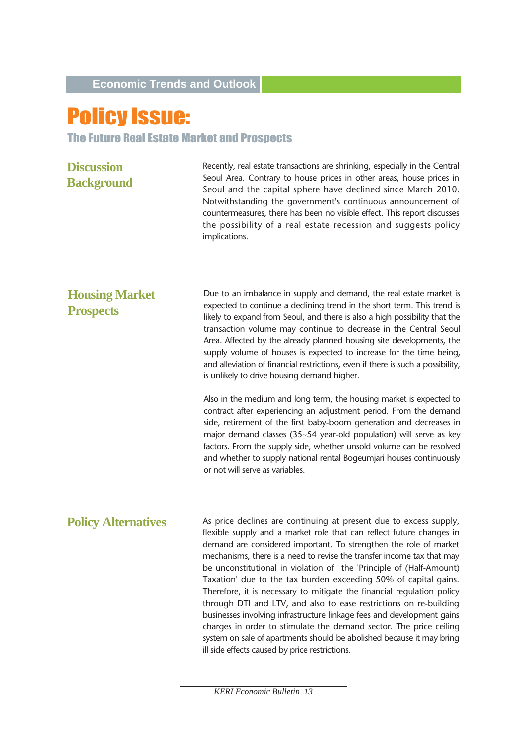# Policy Issue:

#### The Future Real Estate Market and Prospects

**Discussion Background**  Recently, real estate transactions are shrinking, especially in the Central Seoul Area. Contrary to house prices in other areas, house prices in Seoul and the capital sphere have declined since March 2010. Notwithstanding the government's continuous announcement of countermeasures, there has been no visible effect. This report discusses the possibility of a real estate recession and suggests policy implications.

Due to an imbalance in supply and demand, the real estate market is expected to continue a declining trend in the short term. This trend is likely to expand from Seoul, and there is also a high possibility that the transaction volume may continue to decrease in the Central Seoul Area. Affected by the already planned housing site developments, the supply volume of houses is expected to increase for the time being, and alleviation of financial restrictions, even if there is such a possibility, is unlikely to drive housing demand higher. **Housing Market Prospects**

> Also in the medium and long term, the housing market is expected to contract after experiencing an adjustment period. From the demand side, retirement of the first baby-boom generation and decreases in major demand classes (35~54 year-old population) will serve as key factors. From the supply side, whether unsold volume can be resolved and whether to supply national rental Bogeumjari houses continuously or not will serve as variables.

As price declines are continuing at present due to excess supply, flexible supply and a market role that can reflect future changes in demand are considered important. To strengthen the role of market mechanisms, there is a need to revise the transfer income tax that may be unconstitutional in violation of the 'Principle of (Half-Amount) Taxation' due to the tax burden exceeding 50% of capital gains. Therefore, it is necessary to mitigate the financial regulation policy through DTI and LTV, and also to ease restrictions on re-building businesses involving infrastructure linkage fees and development gains charges in order to stimulate the demand sector. The price ceiling system on sale of apartments should be abolished because it may bring ill side effects caused by price restrictions. **Policy Alternatives**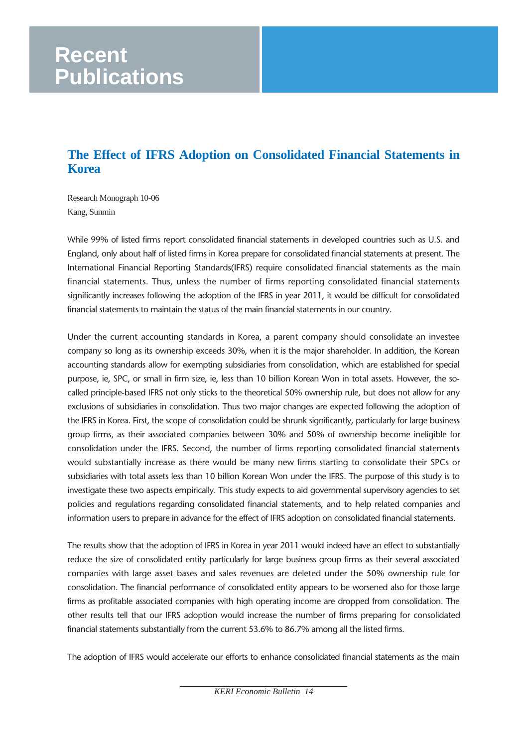# **Recent Publications**

## **The Effect of IFRS Adoption on Consolidated Financial Statements in Korea**

Research Monograph 10-06 Kang, Sunmin

While 99% of listed firms report consolidated financial statements in developed countries such as U.S. and England, only about half of listed firms in Korea prepare for consolidated financial statements at present. The International Financial Reporting Standards(IFRS) require consolidated financial statements as the main financial statements. Thus, unless the number of firms reporting consolidated financial statements significantly increases following the adoption of the IFRS in year 2011, it would be difficult for consolidated financial statements to maintain the status of the main financial statements in our country.

Under the current accounting standards in Korea, a parent company should consolidate an investee company so long as its ownership exceeds 30%, when it is the major shareholder. In addition, the Korean accounting standards allow for exempting subsidiaries from consolidation, which are established for special purpose, ie, SPC, or small in firm size, ie, less than 10 billion Korean Won in total assets. However, the socalled principle-based IFRS not only sticks to the theoretical 50% ownership rule, but does not allow for any exclusions of subsidiaries in consolidation. Thus two major changes are expected following the adoption of the IFRS in Korea. First, the scope of consolidation could be shrunk significantly, particularly for large business group firms, as their associated companies between 30% and 50% of ownership become ineligible for consolidation under the IFRS. Second, the number of firms reporting consolidated financial statements would substantially increase as there would be many new firms starting to consolidate their SPCs or subsidiaries with total assets less than 10 billion Korean Won under the IFRS. The purpose of this study is to investigate these two aspects empirically. This study expects to aid governmental supervisory agencies to set policies and regulations regarding consolidated financial statements, and to help related companies and information users to prepare in advance for the effect of IFRS adoption on consolidated financial statements.

The results show that the adoption of IFRS in Korea in year 2011 would indeed have an effect to substantially reduce the size of consolidated entity particularly for large business group firms as their several associated companies with large asset bases and sales revenues are deleted under the 50% ownership rule for consolidation. The financial performance of consolidated entity appears to be worsened also for those large firms as profitable associated companies with high operating income are dropped from consolidation. The other results tell that our IFRS adoption would increase the number of firms preparing for consolidated financial statements substantially from the current 53.6% to 86.7% among all the listed firms.

The adoption of IFRS would accelerate our efforts to enhance consolidated financial statements as the main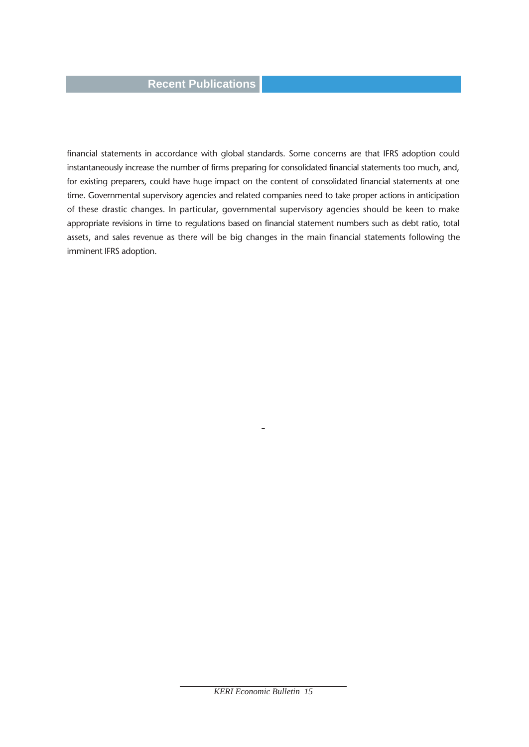#### **Recent Publications**

financial statements in accordance with global standards. Some concerns are that IFRS adoption could instantaneously increase the number of firms preparing for consolidated financial statements too much, and, for existing preparers, could have huge impact on the content of consolidated financial statements at one time. Governmental supervisory agencies and related companies need to take proper actions in anticipation of these drastic changes. In particular, governmental supervisory agencies should be keen to make appropriate revisions in time to regulations based on financial statement numbers such as debt ratio, total assets, and sales revenue as there will be big changes in the main financial statements following the imminent IFRS adoption.